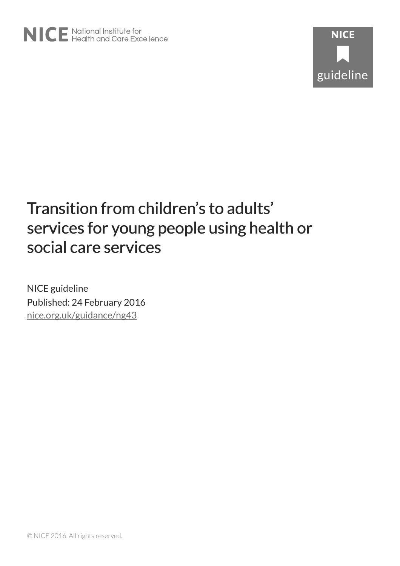# Transition from children's to adults' services for young people using health or social care services

NICE guideline Published: 24 February 2016 [nice.org.uk/guidance/ng43](http://nice.org.uk/guidance/ng43)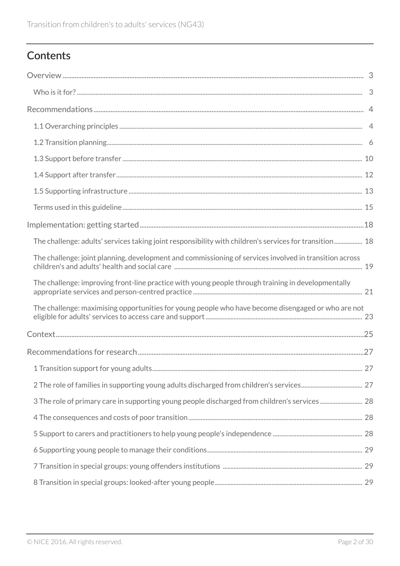# **Contents**

| The challenge: adults' services taking joint responsibility with children's services for transition 18 |             |
|--------------------------------------------------------------------------------------------------------|-------------|
| The challenge: joint planning, development and commissioning of services involved in transition across |             |
| The challenge: improving front-line practice with young people through training in developmentally     |             |
| The challenge: maximising opportunities for young people who have become disengaged or who are not     |             |
|                                                                                                        |             |
|                                                                                                        |             |
|                                                                                                        | $\ldots$ 27 |
|                                                                                                        |             |
|                                                                                                        |             |
|                                                                                                        |             |
|                                                                                                        |             |
|                                                                                                        |             |
|                                                                                                        |             |
|                                                                                                        |             |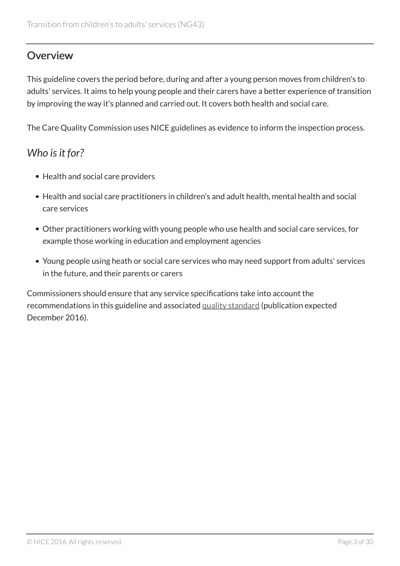# <span id="page-2-0"></span>**Overview**

This guideline covers the period before, during and after a young person moves from children's to adults' services. It aims to help young people and their carers have a better experience of transition by improving the way it's planned and carried out. It covers both health and social care.

The Care Quality Commission uses NICE guidelines as evidence to inform the inspection process.

# <span id="page-2-1"></span>*Who is it for?*

- Health and social care providers
- Health and social care practitioners in children's and adult health, mental health and social care services
- Other practitioners working with young people who use health and social care services, for example those working in education and employment agencies
- Young people using heath or social care services who may need support from adults' services in the future, and their parents or carers

Commissioners should ensure that any service specifications take into account the recommendations in this guideline and associated [quality standard](http://www.nice.org.uk/guidance/indevelopment/gid-qs10012) (publication expected December 2016).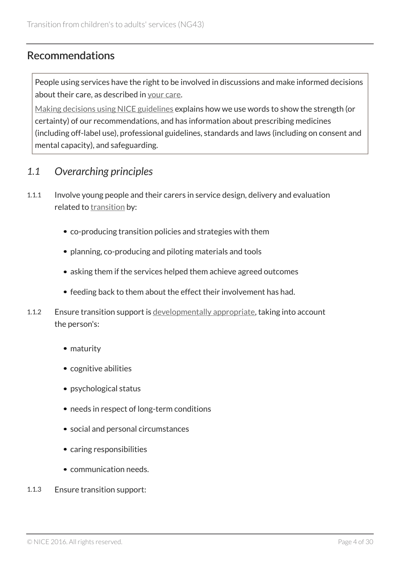# <span id="page-3-0"></span>Recommendations

People using services have the right to be involved in discussions and make informed decisions about their care, as described in [your care.](http://www.nice.org.uk/about/nice-communities/public-involvement/your-care)

[Making decisions using NICE guidelines](http://www.nice.org.uk/about/what-we-do/our-programmes/nice-guidance/nice-guidelines/using-NICE-guidelines-to-make-decisions) explains how we use words to show the strength (or certainty) of our recommendations, and has information about prescribing medicines (including off-label use), professional guidelines, standards and laws (including on consent and mental capacity), and safeguarding.

### <span id="page-3-1"></span>*1.1 Overarching principles*

- 1.1.1 Involve young people and their carers in service design, delivery and evaluation related to [transition](#page-15-0) by:
	- co-producing transition policies and strategies with them
	- planning, co-producing and piloting materials and tools
	- asking them if the services helped them achieve agreed outcomes
	- feeding back to them about the effect their involvement has had.
- 1.1.2 Ensure transition support is [developmentally appropriate](#page-14-1), taking into account the person's:
	- maturity
	- cognitive abilities
	- psychological status
	- needs in respect of long-term conditions
	- social and personal circumstances
	- caring responsibilities
	- communication needs.
- 1.1.3 Ensure transition support: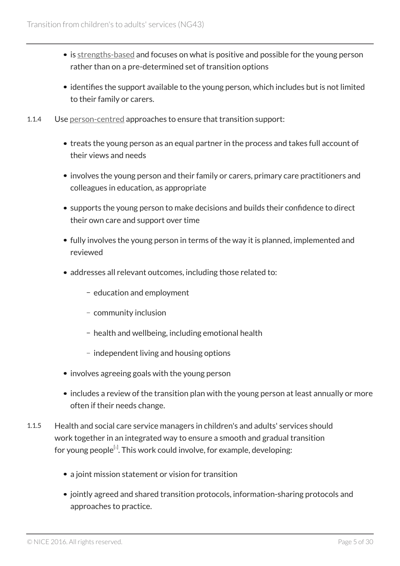- is [strengths-based](#page-15-1) and focuses on what is positive and possible for the young person rather than on a pre-determined set of transition options
- identifies the support available to the young person, which includes but is not limited to their family or carers.
- 1.1.4 Use [person-centred](#page-15-2) approaches to ensure that transition support:
	- treats the young person as an equal partner in the process and takes full account of their views and needs
	- involves the young person and their family or carers, primary care practitioners and colleagues in education, as appropriate
	- supports the young person to make decisions and builds their confidence to direct their own care and support over time
	- fully involves the young person in terms of the way it is planned, implemented and reviewed
	- addresses all relevant outcomes, including those related to:
		- education and employment
		- community inclusion
		- health and wellbeing, including emotional health
		- independent living and housing options
	- involves agreeing goals with the young person
	- includes a review of the transition plan with the young person at least annually or more often if their needs change.
- <span id="page-4-0"></span>1.1.5 Health and social care service managers in children's and adults' services should work together in an integrated way to ensure a smooth and gradual transition for young people $^{\left[ i\right] }$ . This work could involve, for example, developing:
	- a joint mission statement or vision for transition
	- jointly agreed and shared transition protocols, information-sharing protocols and approaches to practice.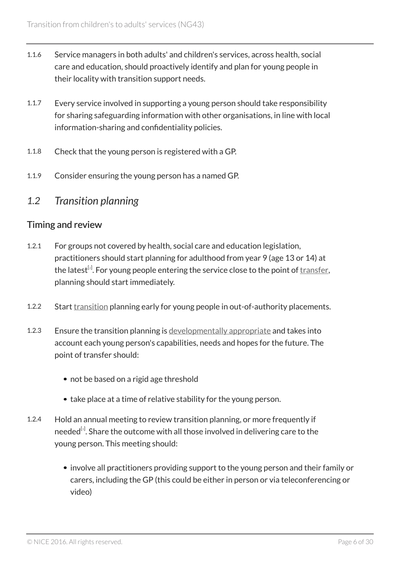- 1.1.6 Service managers in both adults' and children's services, across health, social care and education, should proactively identify and plan for young people in their locality with transition support needs.
- 1.1.7 Every service involved in supporting a young person should take responsibility for sharing safeguarding information with other organisations, in line with local information-sharing and confidentiality policies.
- 1.1.8 Check that the young person is registered with a GP.
- 1.1.9 Consider ensuring the young person has a named GP.

### <span id="page-5-0"></span>*1.2 Transition planning*

#### Timing and review

- <span id="page-5-1"></span>1.2.1 For groups not covered by health, social care and education legislation, practitioners should start planning for adulthood from year 9 (age 13 or 14) at the latest $^{\left[ z\right] }$ . For young people entering the service close to the point of <u>transfer</u>, planning should start immediately.
- 1.2.2 Start [transition](#page-15-0) planning early for young people in out-of-authority placements.
- 1.2.3 Ensure the transition planning is [developmentally appropriate](#page-14-1) and takes into account each young person's capabilities, needs and hopes for the future. The point of transfer should:
	- not be based on a rigid age threshold
	- take place at a time of relative stability for the young person.
- <span id="page-5-2"></span>1.2.4 Hold an annual meeting to review transition planning, or more frequently if needed<sup>[s]</sup>. Share the outcome with all those involved in delivering care to the young person. This meeting should:
	- involve all practitioners providing support to the young person and their family or carers, including the GP (this could be either in person or via teleconferencing or video)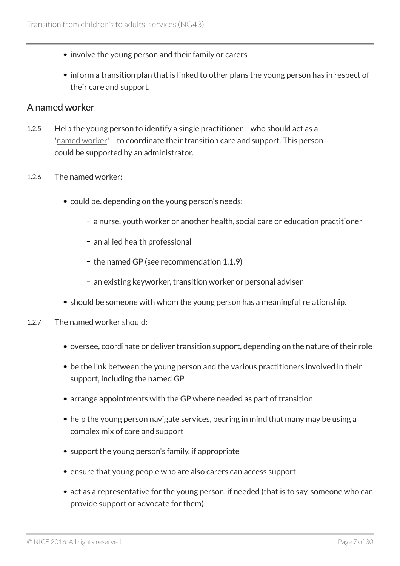- involve the young person and their family or carers
- inform a transition plan that is linked to other plans the young person has in respect of their care and support.

#### A named worker

- 1.2.5 Help the young person to identify a single practitioner who should act as a '[named worker](#page-15-4)' – to coordinate their transition care and support. This person could be supported by an administrator.
- 1.2.6 The named worker:
	- could be, depending on the young person's needs:
		- a nurse, youth worker or another health, social care or education practitioner
		- an allied health professional
		- the named GP (see recommendation 1.1.9)
		- an existing keyworker, transition worker or personal adviser
	- should be someone with whom the young person has a meaningful relationship.
- 1.2.7 The named worker should:
	- oversee, coordinate or deliver transition support, depending on the nature of their role
	- be the link between the young person and the various practitioners involved in their support, including the named GP
	- arrange appointments with the GP where needed as part of transition
	- help the young person navigate services, bearing in mind that many may be using a complex mix of care and support
	- support the young person's family, if appropriate
	- ensure that young people who are also carers can access support
	- act as a representative for the young person, if needed (that is to say, someone who can provide support or advocate for them)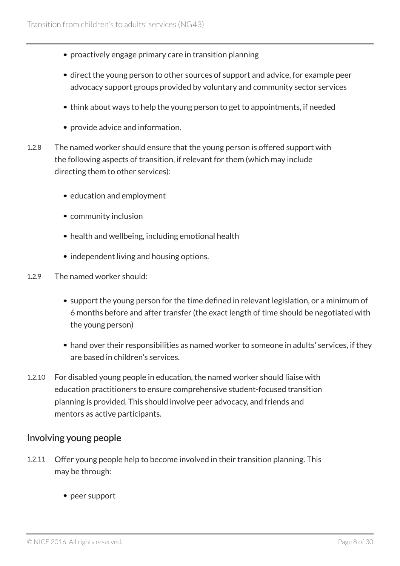- proactively engage primary care in transition planning
- direct the young person to other sources of support and advice, for example peer advocacy support groups provided by voluntary and community sector services
- think about ways to help the young person to get to appointments, if needed
- provide advice and information.
- 1.2.8 The named worker should ensure that the young person is offered support with the following aspects of transition, if relevant for them (which may include directing them to other services):
	- education and employment
	- community inclusion
	- health and wellbeing, including emotional health
	- independent living and housing options.
- 1.2.9 The named worker should:
	- support the young person for the time defined in relevant legislation, or a minimum of 6 months before and after transfer (the exact length of time should be negotiated with the young person)
	- hand over their responsibilities as named worker to someone in adults' services, if they are based in children's services.
- 1.2.10 For disabled young people in education, the named worker should liaise with education practitioners to ensure comprehensive student-focused transition planning is provided. This should involve peer advocacy, and friends and mentors as active participants.

#### Involving young people

- 1.2.11 Offer young people help to become involved in their transition planning. This may be through:
	- peer support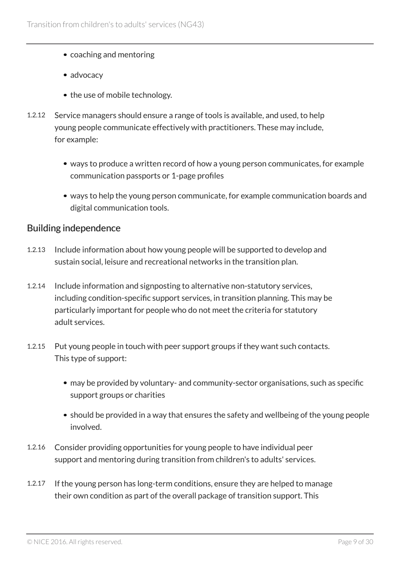- coaching and mentoring
- advocacy
- the use of mobile technology.
- 1.2.12 Service managers should ensure a range of tools is available, and used, to help young people communicate effectively with practitioners. These may include, for example:
	- ways to produce a written record of how a young person communicates, for example communication passports or 1-page profiles
	- ways to help the young person communicate, for example communication boards and digital communication tools.

#### <span id="page-8-0"></span>Building independence

- 1.2.13 Include information about how young people will be supported to develop and sustain social, leisure and recreational networks in the transition plan.
- 1.2.14 Include information and signposting to alternative non-statutory services, including condition-specific support services, in transition planning. This may be particularly important for people who do not meet the criteria for statutory adult services.
- 1.2.15 Put young people in touch with peer support groups if they want such contacts. This type of support:
	- may be provided by voluntary- and community-sector organisations, such as specific support groups or charities
	- should be provided in a way that ensures the safety and wellbeing of the young people involved.
- 1.2.16 Consider providing opportunities for young people to have individual peer support and mentoring during transition from children's to adults' services.
- 1.2.17 If the young person has long-term conditions, ensure they are helped to manage their own condition as part of the overall package of transition support. This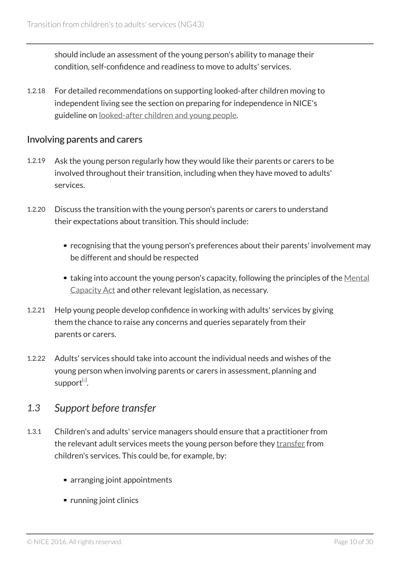should include an assessment of the young person's ability to manage their condition, self-confidence and readiness to move to adults' services.

1.2.18 For detailed recommendations on supporting looked-after children moving to independent living see the section on preparing for independence in NICE's guideline on [looked-after children and young people.](http://www.nice.org.uk/guidance/PH28/chapter/1-Recommendations#preparing-for-independence)

#### <span id="page-9-1"></span>Involving parents and carers

- 1.2.19 Ask the young person regularly how they would like their parents or carers to be involved throughout their transition, including when they have moved to adults' services.
- 1.2.20 Discuss the transition with the young person's parents or carers to understand their expectations about transition. This should include:
	- recognising that the young person's preferences about their parents' involvement may be different and should be respected
	- taking into account the young person's capacity, following the principles of the [Mental](http://www.legislation.gov.uk/ukpga/2005/9/contents) [Capacity Act](http://www.legislation.gov.uk/ukpga/2005/9/contents) and other relevant legislation, as necessary.
- 1.2.21 Help young people develop confidence in working with adults' services by giving them the chance to raise any concerns and queries separately from their parents or carers.
- 1.2.22 Adults' services should take into account the individual needs and wishes of the young person when involving parents or carers in assessment, planning and suppor $\mathsf{t}^{\text{\tiny{[4]}}}$  $\mathsf{t}^{\text{\tiny{[4]}}}$  $\mathsf{t}^{\text{\tiny{[4]}}}$ .

### <span id="page-9-2"></span><span id="page-9-0"></span>*1.3 Support before transfer*

- 1.3.1 Children's and adults' service managers should ensure that a practitioner from the relevant adult services meets the young person before they [transfer](#page-15-3) from children's services. This could be, for example, by:
	- arranging joint appointments
	- running joint clinics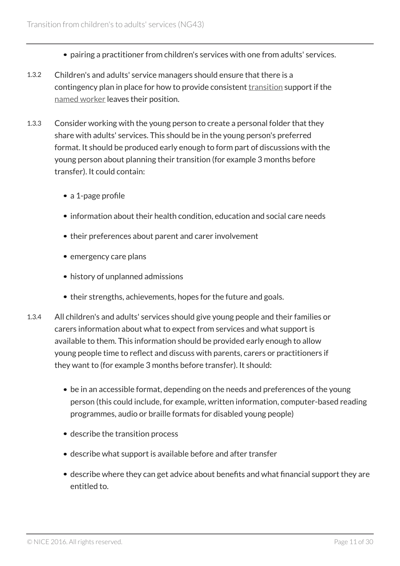- pairing a practitioner from children's services with one from adults' services.
- 1.3.2 Children's and adults' service managers should ensure that there is a contingency plan in place for how to provide consistent [transition](#page-15-0) support if the [named worker](#page-15-4) leaves their position.
- 1.3.3 Consider working with the young person to create a personal folder that they share with adults' services. This should be in the young person's preferred format. It should be produced early enough to form part of discussions with the young person about planning their transition (for example 3 months before transfer). It could contain:
	- a 1-page profile
	- information about their health condition, education and social care needs
	- their preferences about parent and carer involvement
	- emergency care plans
	- history of unplanned admissions
	- their strengths, achievements, hopes for the future and goals.
- 1.3.4 All children's and adults' services should give young people and their families or carers information about what to expect from services and what support is available to them. This information should be provided early enough to allow young people time to reflect and discuss with parents, carers or practitioners if they want to (for example 3 months before transfer). It should:
	- be in an accessible format, depending on the needs and preferences of the young person (this could include, for example, written information, computer-based reading programmes, audio or braille formats for disabled young people)
	- describe the transition process
	- describe what support is available before and after transfer
	- describe where they can get advice about benefits and what financial support they are entitled to.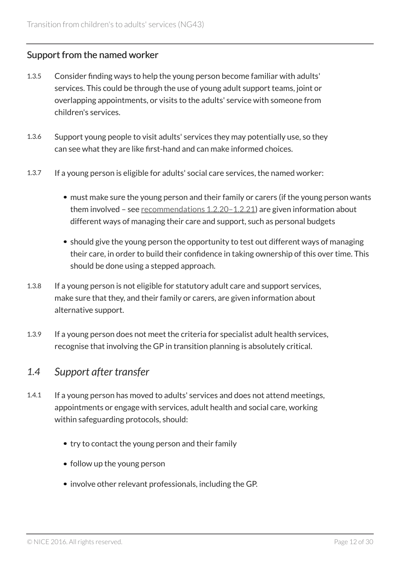### <span id="page-11-1"></span>Support from the named worker

- 1.3.5 Consider finding ways to help the young person become familiar with adults' services. This could be through the use of young adult support teams, joint or overlapping appointments, or visits to the adults' service with someone from children's services.
- 1.3.6 Support young people to visit adults' services they may potentially use, so they can see what they are like first-hand and can make informed choices.
- 1.3.7 If a young person is eligible for adults' social care services, the named worker:
	- must make sure the young person and their family or carers (if the young person wants them involved – see [recommendations 1.2.20–1.2.21\)](#page-9-1) are given information about different ways of managing their care and support, such as personal budgets
	- should give the young person the opportunity to test out different ways of managing their care, in order to build their confidence in taking ownership of this over time. This should be done using a stepped approach.
- 1.3.8 If a young person is not eligible for statutory adult care and support services, make sure that they, and their family or carers, are given information about alternative support.
- 1.3.9 If a young person does not meet the criteria for specialist adult health services, recognise that involving the GP in transition planning is absolutely critical.

### <span id="page-11-0"></span>*1.4 Support after transfer*

- 1.4.1 If a young person has moved to adults' services and does not attend meetings, appointments or engage with services, adult health and social care, working within safeguarding protocols, should:
	- try to contact the young person and their family
	- follow up the young person
	- involve other relevant professionals, including the GP.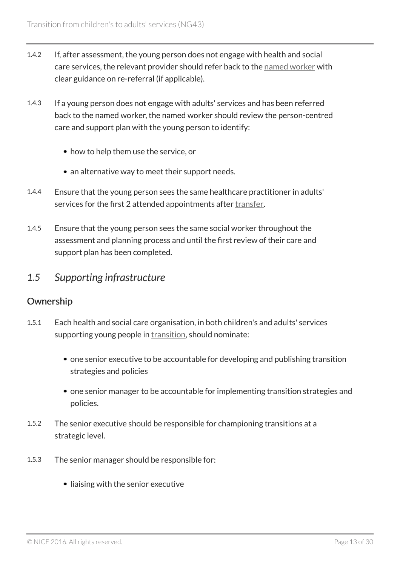- 1.4.2 If, after assessment, the young person does not engage with health and social care services, the relevant provider should refer back to the [named worker](#page-15-4) with clear guidance on re-referral (if applicable).
- 1.4.3 If a young person does not engage with adults' services and has been referred back to the named worker, the named worker should review the person-centred care and support plan with the young person to identify:
	- how to help them use the service, or
	- an alternative way to meet their support needs.
- 1.4.4 Ensure that the young person sees the same healthcare practitioner in adults' services for the first 2 attended appointments after [transfer](#page-15-3).
- 1.4.5 Ensure that the young person sees the same social worker throughout the assessment and planning process and until the first review of their care and support plan has been completed.

### <span id="page-12-0"></span>*1.5 Supporting infrastructure*

#### **Ownership**

- 1.5.1 Each health and social care organisation, in both children's and adults' services supporting young people in [transition,](#page-15-0) should nominate:
	- one senior executive to be accountable for developing and publishing transition strategies and policies
	- one senior manager to be accountable for implementing transition strategies and policies.
- 1.5.2 The senior executive should be responsible for championing transitions at a strategic level.
- 1.5.3 The senior manager should be responsible for:
	- liaising with the senior executive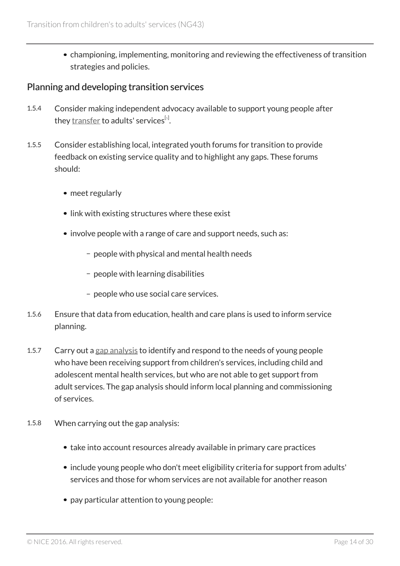championing, implementing, monitoring and reviewing the effectiveness of transition strategies and policies.

#### <span id="page-13-1"></span>Planning and developing transition services

- <span id="page-13-0"></span>1.5.4 Consider making independent advocacy available to support young people after they <u>[transfer](#page-15-3)</u> to adults' services<sup>[s]</sup>.
- 1.5.5 Consider establishing local, integrated youth forums for transition to provide feedback on existing service quality and to highlight any gaps. These forums should:
	- meet regularly
	- link with existing structures where these exist
	- involve people with a range of care and support needs, such as:
		- people with physical and mental health needs
		- people with learning disabilities
		- people who use social care services.
- 1.5.6 Ensure that data from education, health and care plans is used to inform service planning.
- 1.5.7 Carry out a [gap analysis](#page-14-2) to identify and respond to the needs of young people who have been receiving support from children's services, including child and adolescent mental health services, but who are not able to get support from adult services. The gap analysis should inform local planning and commissioning of services.
- 1.5.8 When carrying out the gap analysis:
	- take into account resources already available in primary care practices
	- include young people who don't meet eligibility criteria for support from adults' services and those for whom services are not available for another reason
	- pay particular attention to young people: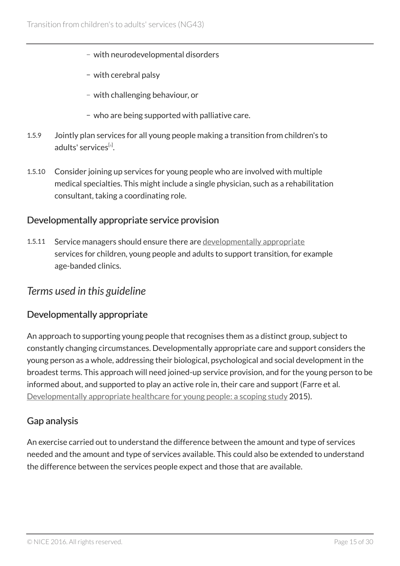- with neurodevelopmental disorders
- with cerebral palsy
- with challenging behaviour, or
- who are being supported with palliative care.
- <span id="page-14-3"></span>1.5.9 Jointly plan services for all young people making a transition from children's to adults' services<sup>[[6](#page-16-5)]</sup>.
- 1.5.10 Consider joining up services for young people who are involved with multiple medical specialties. This might include a single physician, such as a rehabilitation consultant, taking a coordinating role.

#### Developmentally appropriate service provision

1.5.11 Service managers should ensure there are [developmentally appropriate](#page-14-1) services for children, young people and adults to support transition, for example age-banded clinics.

### <span id="page-14-0"></span>*Terms used in this guideline*

#### <span id="page-14-1"></span>Developmentally appropriate

An approach to supporting young people that recognises them as a distinct group, subject to constantly changing circumstances. Developmentally appropriate care and support considers the young person as a whole, addressing their biological, psychological and social development in the broadest terms. This approach will need joined-up service provision, and for the young person to be informed about, and supported to play an active role in, their care and support (Farre et al. [Developmentally appropriate healthcare for young people: a scoping study](http://www.ncbi.nlm.nih.gov/pubmed/25260519) 2015).

### <span id="page-14-2"></span>Gap analysis

An exercise carried out to understand the difference between the amount and type of services needed and the amount and type of services available. This could also be extended to understand the difference between the services people expect and those that are available.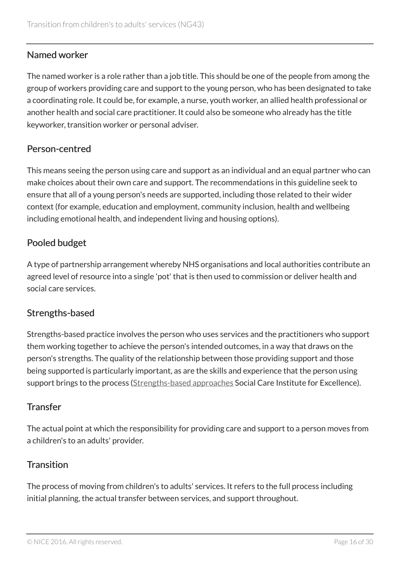### <span id="page-15-4"></span>Named worker

The named worker is a role rather than a job title. This should be one of the people from among the group of workers providing care and support to the young person, who has been designated to take a coordinating role. It could be, for example, a nurse, youth worker, an allied health professional or another health and social care practitioner. It could also be someone who already has the title keyworker, transition worker or personal adviser.

### <span id="page-15-2"></span>Person-centred

This means seeing the person using care and support as an individual and an equal partner who can make choices about their own care and support. The recommendations in this guideline seek to ensure that all of a young person's needs are supported, including those related to their wider context (for example, education and employment, community inclusion, health and wellbeing including emotional health, and independent living and housing options).

### <span id="page-15-5"></span>Pooled budget

A type of partnership arrangement whereby NHS organisations and local authorities contribute an agreed level of resource into a single 'pot' that is then used to commission or deliver health and social care services.

### <span id="page-15-1"></span>Strengths-based

Strengths-based practice involves the person who uses services and the practitioners who support them working together to achieve the person's intended outcomes, in a way that draws on the person's strengths. The quality of the relationship between those providing support and those being supported is particularly important, as are the skills and experience that the person using support brings to the process ([Strengths-based approaches](http://www.scie.org.uk/care-act-2014/assessment-and-eligibility/strengths-based-approach/) Social Care Institute for Excellence).

### <span id="page-15-3"></span>**Transfer**

The actual point at which the responsibility for providing care and support to a person moves from a children's to an adults' provider.

### <span id="page-15-0"></span>**Transition**

The process of moving from children's to adults' services. It refers to the full process including initial planning, the actual transfer between services, and support throughout.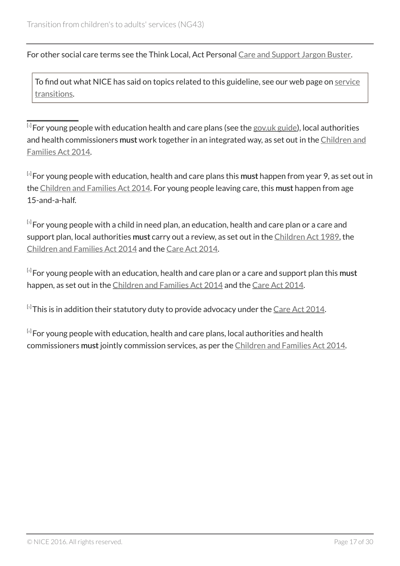For other social care terms see the Think Local, Act Personal [Care and Support Jargon Buster](http://www.thinklocalactpersonal.org.uk/Browse/Informationandadvice/CareandSupportJargonBuster/).

To find out what NICE has said on topics related to this guideline, see our web page on [service](http://www.nice.org.uk/guidance/service-delivery--organisation-and-staffing/service-transition) [transitions](http://www.nice.org.uk/guidance/service-delivery--organisation-and-staffing/service-transition).

<span id="page-16-0"></span> $^{\left[ \textrm{1}\right]}$  $^{\left[ \textrm{1}\right]}$  $^{\left[ \textrm{1}\right]}$ For young people with education health and care plans (see the [gov.uk guide\)](http://www.gov.uk/children-with-special-educational-needs/extra-SEN-help), local authorities and health commissioners must work together in an integrated way, as set out in the [Children and](http://www.legislation.gov.uk/ukpga/2014/6/contents/enacted) [Families Act 2014](http://www.legislation.gov.uk/ukpga/2014/6/contents/enacted).

<span id="page-16-1"></span> $^{[\tiny 2]}$  $^{[\tiny 2]}$  $^{[\tiny 2]}$ For young people with education, health and care plans this **must** happen from year 9, as set out in the [Children and Families Act 2014.](http://www.legislation.gov.uk/ukpga/2014/6/contents/enacted) For young people leaving care, this must happen from age 15-and-a-half.

<span id="page-16-2"></span> $^{\text{\tiny{[3]}}}$  $^{\text{\tiny{[3]}}}$  $^{\text{\tiny{[3]}}}$ For young people with a child in need plan, an education, health and care plan or a care and support plan, local authorities must carry out a review, as set out in the [Children Act 1989,](http://www.legislation.gov.uk/ukpga/1989/41/contents) the [Children and Families Act 2014](http://www.legislation.gov.uk/ukpga/2014/6/contents/enacted) and the [Care Act 2014.](http://www.legislation.gov.uk/ukpga/2014/23/contents/enacted)

<span id="page-16-3"></span> $^{\left[ 4 \right]}$  $^{\left[ 4 \right]}$  $^{\left[ 4 \right]}$  For young people with an education, health and care plan or a care and support plan this must happen, as set out in the [Children and Families Act 2014](http://www.legislation.gov.uk/ukpga/2014/6/contents/enacted) and the [Care Act 2014](http://www.legislation.gov.uk/ukpga/2014/23/contents/enacted).

<span id="page-16-4"></span> $^{\text{\tiny{[s]}}}$ This is in addition their statutory duty to provide advocacy under the <u>Care Act 2014</u>.

<span id="page-16-5"></span> $^{\left[ 6 \right]}$  $^{\left[ 6 \right]}$  $^{\left[ 6 \right]}$  For young people with education, health and care plans, local authorities and health commissioners must jointly commission services, as per the [Children and Families Act 2014](http://www.legislation.gov.uk/ukpga/2014/6/contents/enacted).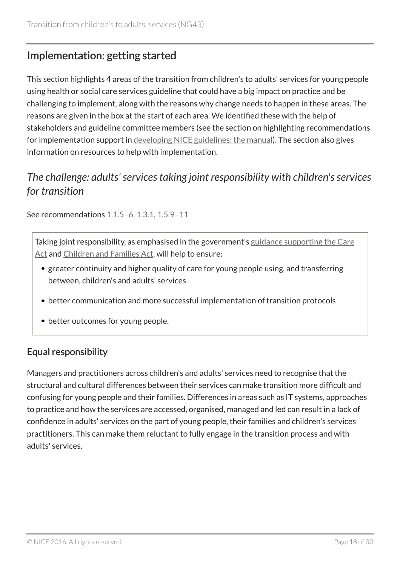# <span id="page-17-0"></span>Implementation: getting started

This section highlights 4 areas of the transition from children's to adults' services for young people using health or social care services guideline that could have a big impact on practice and be challenging to implement, along with the reasons why change needs to happen in these areas. The reasons are given in the box at the start of each area. We identified these with the help of stakeholders and guideline committee members (see the section on highlighting recommendations for implementation support in [developing NICE guidelines: the manual](http://www.nice.org.uk/article/PMG20/chapter/9-Developing-and-wording-recommendations-and-writing-the-guideline)). The section also gives information on resources to help with implementation.

# <span id="page-17-1"></span>*The challenge: adults' services taking joint responsibility with children's services for transition*

See recommendations 1.1.5-6, [1.3.1,](#page-9-0) 1.5.9-11

Taking joint responsibility, as emphasised in the government's [guidance supporting the Care](http://www.gov.uk/government/uploads/system/uploads/attachment_data/file/366104/43380_23902777_Care_Act_Book.pdf) [Act](http://www.gov.uk/government/uploads/system/uploads/attachment_data/file/366104/43380_23902777_Care_Act_Book.pdf) and [Children and Families Act,](http://www.gov.uk/government/uploads/system/uploads/attachment_data/file/398815/SEND_Code_of_Practice_January_2015.pdf) will help to ensure:

- greater continuity and higher quality of care for young people using, and transferring between, children's and adults' services
- better communication and more successful implementation of transition protocols
- better outcomes for young people.

### Equal responsibility

Managers and practitioners across children's and adults' services need to recognise that the structural and cultural differences between their services can make transition more difficult and confusing for young people and their families. Differences in areas such as IT systems, approaches to practice and how the services are accessed, organised, managed and led can result in a lack of confidence in adults' services on the part of young people, their families and children's services practitioners. This can make them reluctant to fully engage in the transition process and with adults' services.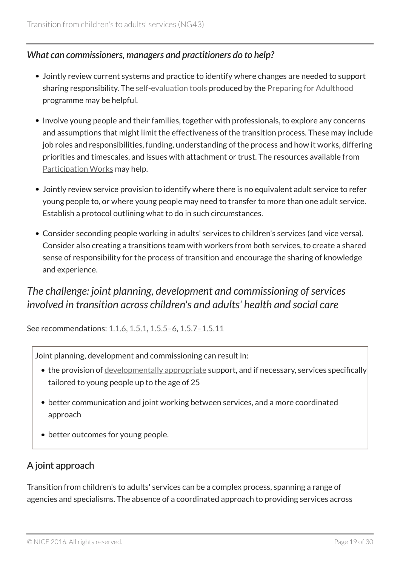### *What can commissioners, managers and practitioners do to help?*

- Jointly review current systems and practice to identify where changes are needed to support sharing responsibility. The [self-evaluation tools](http://www.preparingforadulthood.org.uk/what-we-do/pfa-self-evaluation-tool) produced by the [Preparing for Adulthood](http://www.preparingforadulthood.org.uk/what-we-do) programme may be helpful.
- Involve young people and their families, together with professionals, to explore any concerns and assumptions that might limit the effectiveness of the transition process. These may include job roles and responsibilities, funding, understanding of the process and how it works, differing priorities and timescales, and issues with attachment or trust. The resources available from [Participation Works](http://www.participationworks.org.uk/) may help.
- Jointly review service provision to identify where there is no equivalent adult service to refer young people to, or where young people may need to transfer to more than one adult service. Establish a protocol outlining what to do in such circumstances.
- Consider seconding people working in adults' services to children's services (and vice versa). Consider also creating a transitions team with workers from both services, to create a shared sense of responsibility for the process of transition and encourage the sharing of knowledge and experience.

# <span id="page-18-0"></span>*The challenge: joint planning, development and commissioning of services involved in transition across children's and adults' health and social care*

See recommendations: [1.1.6,](#page-3-1) [1.5.1](#page-12-0), 1.5.5-6, 1.5.7-1.5.11

Joint planning, development and commissioning can result in:

- the provision of [developmentally appropriate](#page-14-1) support, and if necessary, services specifically tailored to young people up to the age of 25
- better communication and joint working between services, and a more coordinated approach
- better outcomes for young people.

### A joint approach

Transition from children's to adults' services can be a complex process, spanning a range of agencies and specialisms. The absence of a coordinated approach to providing services across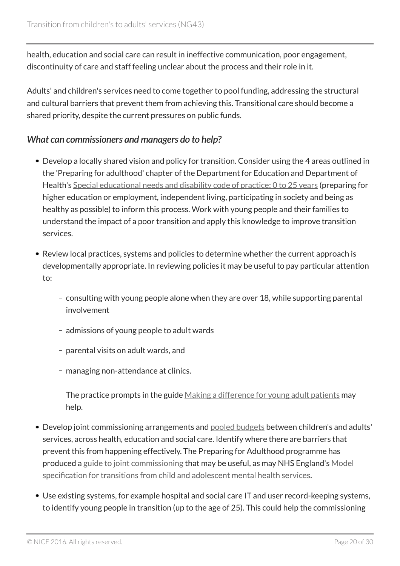health, education and social care can result in ineffective communication, poor engagement, discontinuity of care and staff feeling unclear about the process and their role in it.

Adults' and children's services need to come together to pool funding, addressing the structural and cultural barriers that prevent them from achieving this. Transitional care should become a shared priority, despite the current pressures on public funds.

#### *What can commissioners and managers do to help?*

- Develop a locally shared vision and policy for transition. Consider using the 4 areas outlined in the 'Preparing for adulthood' chapter of the Department for Education and Department of Health's [Special educational needs and disability code of practice: 0 to 25 years](http://www.gov.uk/government/publications/send-code-of-practice-0-to-25) (preparing for higher education or employment, independent living, participating in society and being as healthy as possible) to inform this process. Work with young people and their families to understand the impact of a poor transition and apply this knowledge to improve transition services.
- Review local practices, systems and policies to determine whether the current approach is developmentally appropriate. In reviewing policies it may be useful to pay particular attention to:
	- consulting with young people alone when they are over 18, while supporting parental involvement
	- admissions of young people to adult wards
	- parental visits on adult wards, and
	- managing non-attendance at clinics.

The practice prompts in the guide [Making a difference for young adult patients](http://php.york.ac.uk/inst/spru/pubs/2643/) may help.

- Develop joint commissioning arrangements and [pooled budgets](#page-15-5) between children's and adults' services, across health, education and social care. Identify where there are barriers that prevent this from happening effectively. The Preparing for Adulthood programme has produced a [guide to joint commissioning](http://www.preparingforadulthood.org.uk/what-we-do/joint-commissioning/joint-commissioning-in-action) that may be useful, as may NHS England's [Model](http://www.england.nhs.uk/wp-content/uploads/2015/01/mod-transt-camhs-spec.pdf) [specification for transitions from child and adolescent mental health services.](http://www.england.nhs.uk/wp-content/uploads/2015/01/mod-transt-camhs-spec.pdf)
- Use existing systems, for example hospital and social care IT and user record-keeping systems, to identify young people in transition (up to the age of 25). This could help the commissioning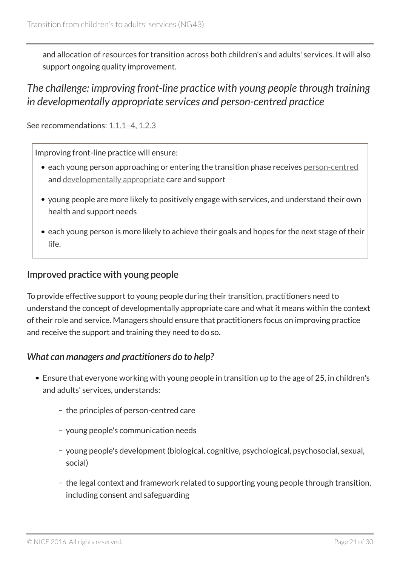and allocation of resources for transition across both children's and adults' services. It will also support ongoing quality improvement.

# <span id="page-20-0"></span>*The challenge: improving front-line practice with young people through training in developmentally appropriate services and person-centred practice*

See recommendations: 1.1.1-4, [1.2.3](#page-5-0)

Improving front-line practice will ensure:

- each young person approaching or entering the transition phase receives [person-centred](#page-15-2) and [developmentally appropriate](#page-14-1) care and support
- young people are more likely to positively engage with services, and understand their own health and support needs
- each young person is more likely to achieve their goals and hopes for the next stage of their life.

#### Improved practice with young people

To provide effective support to young people during their transition, practitioners need to understand the concept of developmentally appropriate care and what it means within the context of their role and service. Managers should ensure that practitioners focus on improving practice and receive the support and training they need to do so.

#### *What can managers and practitioners do to help?*

- Ensure that everyone working with young people in transition up to the age of 25, in children's and adults' services, understands:
	- the principles of person-centred care
	- young people's communication needs
	- young people's development (biological, cognitive, psychological, psychosocial, sexual, social)
	- the legal context and framework related to supporting young people through transition, including consent and safeguarding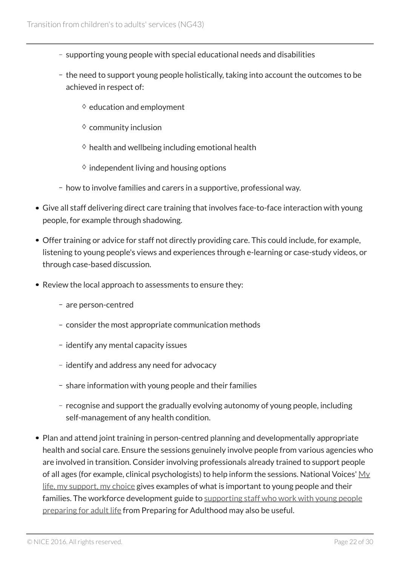- supporting young people with special educational needs and disabilities
- the need to support young people holistically, taking into account the outcomes to be achieved in respect of:
	- $\diamond$  education and employment
	- $\diamond$  community inclusion
	- $\diamond$  health and wellbeing including emotional health
	- $\Diamond$  independent living and housing options
- how to involve families and carers in a supportive, professional way.
- Give all staff delivering direct care training that involves face-to-face interaction with young people, for example through shadowing.
- Offer training or advice for staff not directly providing care. This could include, for example, listening to young people's views and experiences through e-learning or case-study videos, or through case-based discussion.
- Review the local approach to assessments to ensure they:
	- are person-centred
	- consider the most appropriate communication methods
	- identify any mental capacity issues
	- identify and address any need for advocacy
	- share information with young people and their families
	- recognise and support the gradually evolving autonomy of young people, including self-management of any health condition.
- Plan and attend joint training in person-centred planning and developmentally appropriate health and social care. Ensure the sessions genuinely involve people from various agencies who are involved in transition. Consider involving professionals already trained to support people of all ages (for example, clinical psychologists) to help inform the sessions. National Voices'  $M_V$ [life, my support, my choice](http://www.nationalvoices.org.uk/publications/our-publications/my-life-my-support-my-choice) gives examples of what is important to young people and their families. The workforce development guide to [supporting staff who work with young people](http://www.preparingforadulthood.org.uk/what-we-do/workforce-development/workforce-development-a-guide) [preparing for adult life](http://www.preparingforadulthood.org.uk/what-we-do/workforce-development/workforce-development-a-guide) from Preparing for Adulthood may also be useful.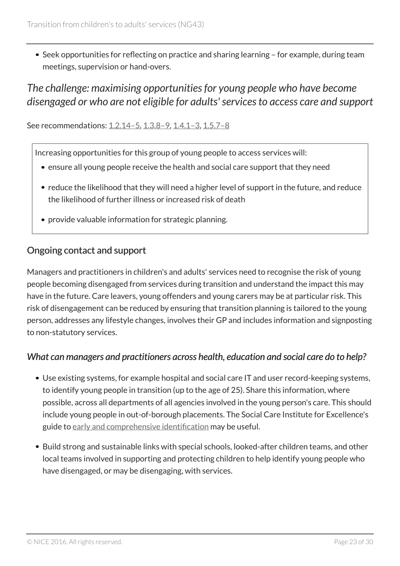Seek opportunities for reflecting on practice and sharing learning – for example, during team meetings, supervision or hand-overs.

# <span id="page-22-0"></span>*The challenge: maximising opportunities for young people who have become disengaged or who are not eligible for adults' services to access care and support*

See recommendations: 1.2.14-5, 1.3.8-9, 1.4.1-3, 1.5.7-8

Increasing opportunities for this group of young people to access services will:

- ensure all young people receive the health and social care support that they need
- reduce the likelihood that they will need a higher level of support in the future, and reduce the likelihood of further illness or increased risk of death
- provide valuable information for strategic planning.

#### Ongoing contact and support

Managers and practitioners in children's and adults' services need to recognise the risk of young people becoming disengaged from services during transition and understand the impact this may have in the future. Care leavers, young offenders and young carers may be at particular risk. This risk of disengagement can be reduced by ensuring that transition planning is tailored to the young person, addresses any lifestyle changes, involves their GP and includes information and signposting to non-statutory services.

#### *What can managers and practitioners across health, education and social care do to help?*

- Use existing systems, for example hospital and social care IT and user record-keeping systems, to identify young people in transition (up to the age of 25). Share this information, where possible, across all departments of all agencies involved in the young person's care. This should include young people in out-of-borough placements. The Social Care Institute for Excellence's guide to [early and comprehensive identification](http://www.scie.org.uk/care-act-2014/transition-from-childhood-to-adulthood/early-comprehensive-identification/) may be useful.
- Build strong and sustainable links with special schools, looked-after children teams, and other local teams involved in supporting and protecting children to help identify young people who have disengaged, or may be disengaging, with services.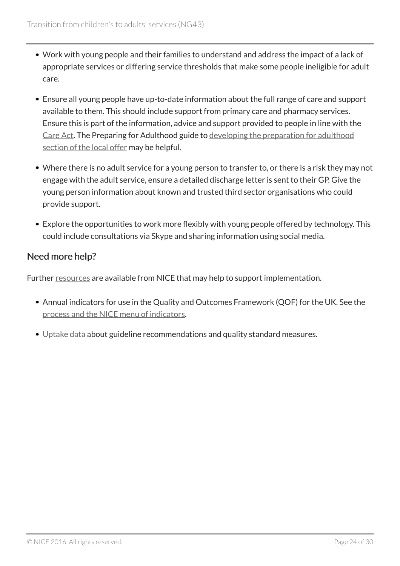- Work with young people and their families to understand and address the impact of a lack of appropriate services or differing service thresholds that make some people ineligible for adult care.
- Ensure all young people have up-to-date information about the full range of care and support available to them. This should include support from primary care and pharmacy services. Ensure this is part of the information, advice and support provided to people in line with the [Care Act](http://www.legislation.gov.uk/ukpga/2014/23/contents/enacted). The Preparing for Adulthood guide to [developing the preparation for adulthood](http://www.preparingforadulthood.org.uk/media/334105/se7_preparation_for_adulthood_booklet_final.pdf) [section of the local offer](http://www.preparingforadulthood.org.uk/media/334105/se7_preparation_for_adulthood_booklet_final.pdf) may be helpful.
- Where there is no adult service for a young person to transfer to, or there is a risk they may not engage with the adult service, ensure a detailed discharge letter is sent to their GP. Give the young person information about known and trusted third sector organisations who could provide support.
- Explore the opportunities to work more flexibly with young people offered by technology. This could include consultations via Skype and sharing information using social media.

### Need more help?

Further [resources](http://www.nice.org.uk/guidance/NG43/resources) are available from NICE that may help to support implementation.

- Annual indicators for use in the Quality and Outcomes Framework (QOF) for the UK. See the [process and the NICE menu of indicators](http://www.nice.org.uk/standards-and-indicators/qofindicators).
- [Uptake data](http://www.nice.org.uk/about/what-we-do/into-practice/measuring-the-uptake-of-nice-guidance/uptake-data) about guideline recommendations and quality standard measures.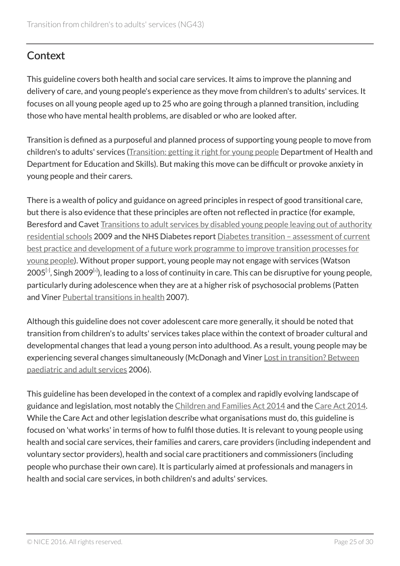# <span id="page-24-0"></span>**Context**

This guideline covers both health and social care services. It aims to improve the planning and delivery of care, and young people's experience as they move from children's to adults' services. It focuses on all young people aged up to 25 who are going through a planned transition, including those who have mental health problems, are disabled or who are looked after.

Transition is defined as a purposeful and planned process of supporting young people to move from children's to adults' services [\(Transition: getting it right for young people](http://webarchive.nationalarchives.gov.uk/20130107105354/http:/www.dh.gov.uk/en/Publicationsandstatistics/Publications/PublicationsPolicyAndGuidance/DH_4132145) Department of Health and Department for Education and Skills). But making this move can be difficult or provoke anxiety in young people and their carers.

There is a wealth of policy and guidance on agreed principles in respect of good transitional care, but there is also evidence that these principles are often not reflected in practice (for example, Beresford and Cavet [Transitions to adult services by disabled young people leaving out of authority](http://php.york.ac.uk/inst/spru/pubs/1195/) [residential schools](http://php.york.ac.uk/inst/spru/pubs/1195/) 2009 and the NHS Diabetes report [Diabetes transition – assessment of current](http://www.diabetes.org.uk/About_us/What-we-say/NHS-Diabetes-commissioning-documents-guidance/) [best practice and development of a future work programme to improve transition processes for](http://www.diabetes.org.uk/About_us/What-we-say/NHS-Diabetes-commissioning-documents-guidance/) [young people](http://www.diabetes.org.uk/About_us/What-we-say/NHS-Diabetes-commissioning-documents-guidance/)). Without proper support, young people may not engage with services (Watson  $2005^{\rm [z]}$ , Singh 2009 $^{\rm [s]}$ ), leading to a loss of continuity in care. This can be disruptive for young people, particularly during adolescence when they are at a higher risk of psychosocial problems (Patten and Viner [Pubertal transitions in health](http://www.thelancet.com/journals/lancet/article/PIIS0140-6736(07)60366-3/fulltext) 2007).

<span id="page-24-1"></span>Although this guideline does not cover adolescent care more generally, it should be noted that transition from children's to adults' services takes place within the context of broader cultural and developmental changes that lead a young person into adulthood. As a result, young people may be experiencing several changes simultaneously (McDonagh and Viner [Lost in transition? Between](http://www.ncbi.nlm.nih.gov/pmc/articles/PMC1382525/) [paediatric and adult services](http://www.ncbi.nlm.nih.gov/pmc/articles/PMC1382525/) 2006).

This guideline has been developed in the context of a complex and rapidly evolving landscape of guidance and legislation, most notably the [Children and Families Act 2014](http://www.legislation.gov.uk/ukpga/2014/6/contents/enacted) and the [Care Act 2014](http://services.parliament.uk/bills/2013-14/care.html). While the Care Act and other legislation describe what organisations must do, this guideline is focused on 'what works' in terms of how to fulfil those duties. It is relevant to young people using health and social care services, their families and carers, care providers (including independent and voluntary sector providers), health and social care practitioners and commissioners (including people who purchase their own care). It is particularly aimed at professionals and managers in health and social care services, in both children's and adults' services.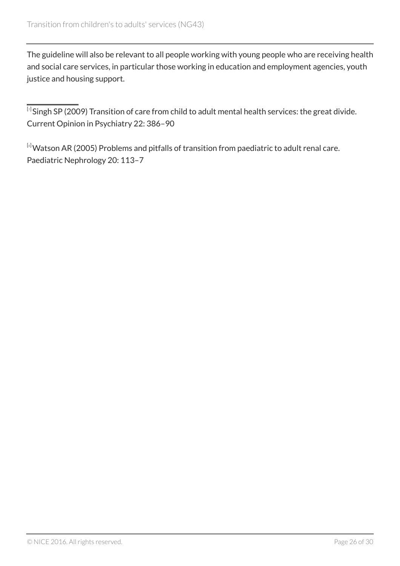The guideline will also be relevant to all people working with young people who are receiving health and social care services, in particular those working in education and employment agencies, youth justice and housing support.

<span id="page-25-0"></span> $^{\boxdot}$ Singh SP (2009) Transition of care from child to adult mental health services: the great divide. Current Opinion in Psychiatry 22: 386–90

<span id="page-25-1"></span>[[8](#page-24-1)] Watson AR (2005) Problems and pitfalls of transition from paediatric to adult renal care. Paediatric Nephrology 20: 113–7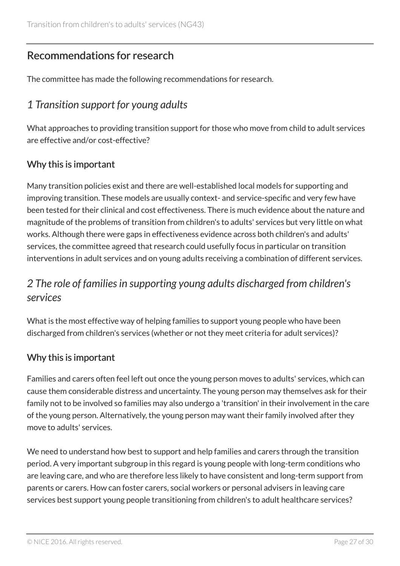# <span id="page-26-0"></span>Recommendations for research

The committee has made the following recommendations for research.

# <span id="page-26-1"></span>*1 Transition support for young adults*

What approaches to providing transition support for those who move from child to adult services are effective and/or cost-effective?

### Why this is important

Many transition policies exist and there are well-established local models for supporting and improving transition. These models are usually context- and service-specific and very few have been tested for their clinical and cost effectiveness. There is much evidence about the nature and magnitude of the problems of transition from children's to adults' services but very little on what works. Although there were gaps in effectiveness evidence across both children's and adults' services, the committee agreed that research could usefully focus in particular on transition interventions in adult services and on young adults receiving a combination of different services.

# <span id="page-26-2"></span>*2 The role of families in supporting young adults discharged from children's services*

What is the most effective way of helping families to support young people who have been discharged from children's services (whether or not they meet criteria for adult services)?

### Why this is important

Families and carers often feel left out once the young person moves to adults' services, which can cause them considerable distress and uncertainty. The young person may themselves ask for their family not to be involved so families may also undergo a 'transition' in their involvement in the care of the young person. Alternatively, the young person may want their family involved after they move to adults' services.

We need to understand how best to support and help families and carers through the transition period. A very important subgroup in this regard is young people with long-term conditions who are leaving care, and who are therefore less likely to have consistent and long-term support from parents or carers. How can foster carers, social workers or personal advisers in leaving care services best support young people transitioning from children's to adult healthcare services?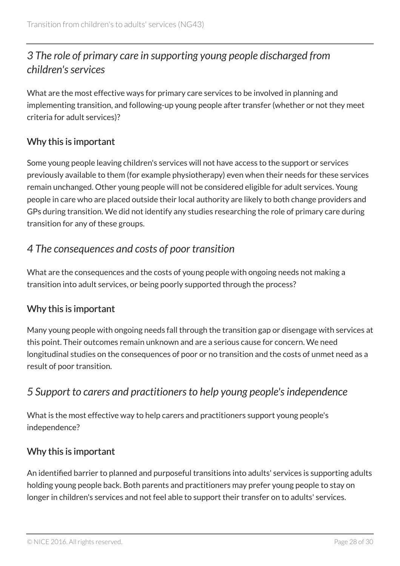# <span id="page-27-0"></span>*3 The role of primary care in supporting young people discharged from children's services*

What are the most effective ways for primary care services to be involved in planning and implementing transition, and following-up young people after transfer (whether or not they meet criteria for adult services)?

### Why this is important

Some young people leaving children's services will not have access to the support or services previously available to them (for example physiotherapy) even when their needs for these services remain unchanged. Other young people will not be considered eligible for adult services. Young people in care who are placed outside their local authority are likely to both change providers and GPs during transition. We did not identify any studies researching the role of primary care during transition for any of these groups.

# <span id="page-27-1"></span>*4 The consequences and costs of poor transition*

What are the consequences and the costs of young people with ongoing needs not making a transition into adult services, or being poorly supported through the process?

### Why this is important

Many young people with ongoing needs fall through the transition gap or disengage with services at this point. Their outcomes remain unknown and are a serious cause for concern. We need longitudinal studies on the consequences of poor or no transition and the costs of unmet need as a result of poor transition.

# <span id="page-27-2"></span>*5 Support to carers and practitioners to help young people's independence*

What is the most effective way to help carers and practitioners support young people's independence?

### Why this is important

An identified barrier to planned and purposeful transitions into adults' services is supporting adults holding young people back. Both parents and practitioners may prefer young people to stay on longer in children's services and not feel able to support their transfer on to adults' services.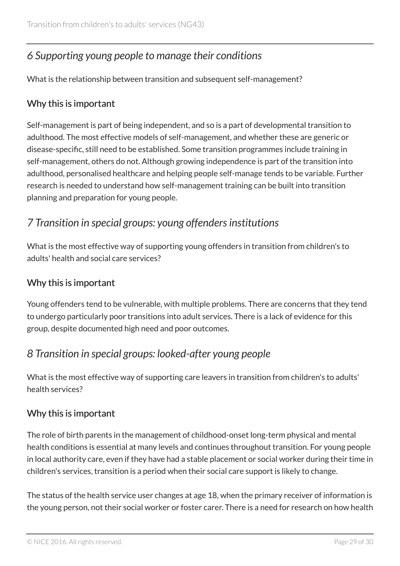# <span id="page-28-0"></span>*6 Supporting young people to manage their conditions*

What is the relationship between transition and subsequent self-management?

### Why this is important

Self-management is part of being independent, and so is a part of developmental transition to adulthood. The most effective models of self-management, and whether these are generic or disease-specific, still need to be established. Some transition programmes include training in self-management, others do not. Although growing independence is part of the transition into adulthood, personalised healthcare and helping people self-manage tends to be variable. Further research is needed to understand how self-management training can be built into transition planning and preparation for young people.

# <span id="page-28-1"></span>*7 Transition in special groups: young offenders institutions*

What is the most effective way of supporting young offenders in transition from children's to adults' health and social care services?

### Why this is important

Young offenders tend to be vulnerable, with multiple problems. There are concerns that they tend to undergo particularly poor transitions into adult services. There is a lack of evidence for this group, despite documented high need and poor outcomes.

# <span id="page-28-2"></span>*8 Transition in special groups: looked-after young people*

What is the most effective way of supporting care leavers in transition from children's to adults' health services?

### Why this is important

The role of birth parents in the management of childhood-onset long-term physical and mental health conditions is essential at many levels and continues throughout transition. For young people in local authority care, even if they have had a stable placement or social worker during their time in children's services, transition is a period when their social care support is likely to change.

The status of the health service user changes at age 18, when the primary receiver of information is the young person, not their social worker or foster carer. There is a need for research on how health